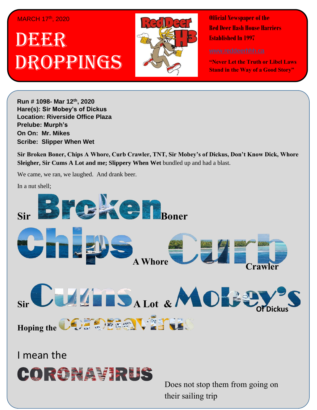## MARCH 17th, 2020

## . 1 DEER Droppings



**Official Newspaper of the Red Deer Hash House Harriers Established In 1997** 

**"Never Let the Truth or Libel Laws Stand in the Way of a Good Story"**

**Run # 1075- Oct. 3 rd, 2019 h H H C Mar 12<sup>th</sup>, 2020 virgin friend Hare(s): Sir Mobey's of Dickus Location: Riverside Office Plaza Prelube: Murph's On On: Mr. Mikes Scribe: Chips A Whore** *Have Slipper When Wet**Maximum of <i>Law* **of** *Law* **of** *Law* **of** *Law* **of** *Law* **of** *Law* **of** *Law* **of** *Law* **of** *Law* **of** *Law* **of** *Law* **of** *Law* **of** *Law* **of** *Law* **of** *Law* **of** *Law* **of** *Law* **of** *Law* **of** *Law* **of** *Law* **of** *Law* 

Sir Broken Boner, Chips A Whore, Curb Crawler, TNT, Sir Mobey's of Dickus, Don't Know Dick, Whore  $\frac{1}{2}$  to  $\frac{1}{2}$  to  $\frac{1}{2}$  to  $\frac{1}{2}$  and  $\frac{1}{2}$  and  $\frac{1}{2}$  and  $\frac{1}{2}$  and  $\frac{1}{2}$  and  $\frac{1}{2}$  and  $\frac{1}{2}$  and  $\frac{1}{2}$  and  $\frac{1}{2}$  and  $\frac{1}{2}$  and  $\frac{1}{2}$  and  $\frac{1}{2}$  and  $\frac{1}{2}$  and Sleigher, Sir Cums A Lot and me; Slippery When Wet bundled up and had a blast.

We came, we ran, we laughed. And drank beer.

In a nut shell;  $\blacksquare$ 



I mean the iteration of the iteration



Does not stop them from going on their sailing trip